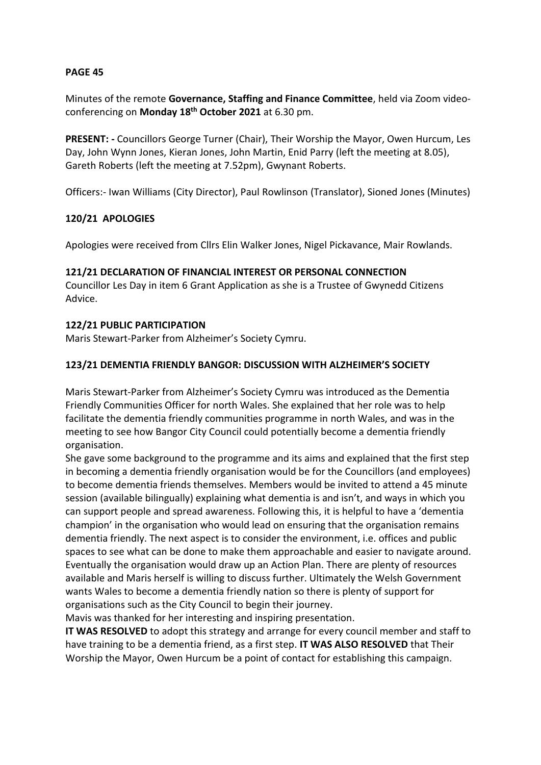Minutes of the remote **Governance, Staffing and Finance Committee**, held via Zoom videoconferencing on **Monday 18th October 2021** at 6.30 pm.

**PRESENT: -** Councillors George Turner (Chair), Their Worship the Mayor, Owen Hurcum, Les Day, John Wynn Jones, Kieran Jones, John Martin, Enid Parry (left the meeting at 8.05), Gareth Roberts (left the meeting at 7.52pm), Gwynant Roberts.

Officers:- Iwan Williams (City Director), Paul Rowlinson (Translator), Sioned Jones (Minutes)

### **120/21 APOLOGIES**

Apologies were received from Cllrs Elin Walker Jones, Nigel Pickavance, Mair Rowlands.

### **121/21 DECLARATION OF FINANCIAL INTEREST OR PERSONAL CONNECTION**

Councillor Les Day in item 6 Grant Application as she is a Trustee of Gwynedd Citizens Advice.

### **122/21 PUBLIC PARTICIPATION**

Maris Stewart-Parker from Alzheimer's Society Cymru.

### **123/21 DEMENTIA FRIENDLY BANGOR: DISCUSSION WITH ALZHEIMER'S SOCIETY**

Maris Stewart-Parker from Alzheimer's Society Cymru was introduced as the Dementia Friendly Communities Officer for north Wales. She explained that her role was to help facilitate the dementia friendly communities programme in north Wales, and was in the meeting to see how Bangor City Council could potentially become a dementia friendly organisation.

She gave some background to the programme and its aims and explained that the first step in becoming a dementia friendly organisation would be for the Councillors (and employees) to become dementia friends themselves. Members would be invited to attend a 45 minute session (available bilingually) explaining what dementia is and isn't, and ways in which you can support people and spread awareness. Following this, it is helpful to have a 'dementia champion' in the organisation who would lead on ensuring that the organisation remains dementia friendly. The next aspect is to consider the environment, i.e. offices and public spaces to see what can be done to make them approachable and easier to navigate around. Eventually the organisation would draw up an Action Plan. There are plenty of resources available and Maris herself is willing to discuss further. Ultimately the Welsh Government wants Wales to become a dementia friendly nation so there is plenty of support for organisations such as the City Council to begin their journey.

Mavis was thanked for her interesting and inspiring presentation.

**IT WAS RESOLVED** to adopt this strategy and arrange for every council member and staff to have training to be a dementia friend, as a first step. **IT WAS ALSO RESOLVED** that Their Worship the Mayor, Owen Hurcum be a point of contact for establishing this campaign.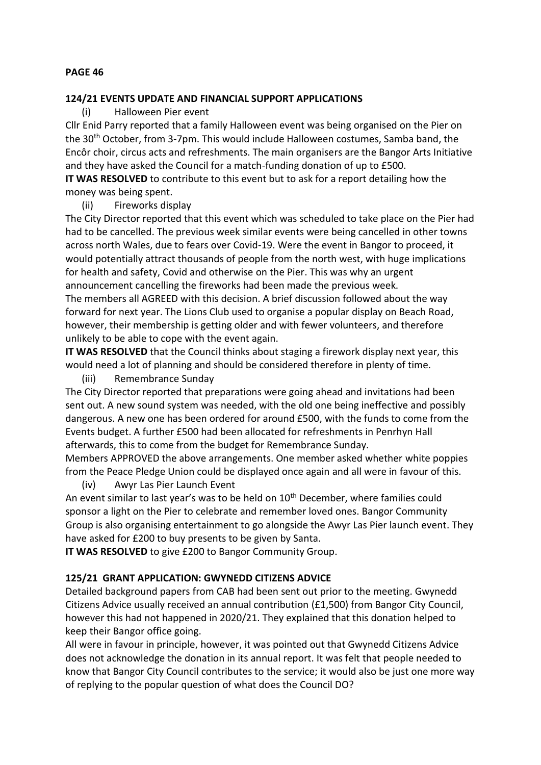#### **124/21 EVENTS UPDATE AND FINANCIAL SUPPORT APPLICATIONS**

(i) Halloween Pier event

Cllr Enid Parry reported that a family Halloween event was being organised on the Pier on the 30th October, from 3-7pm. This would include Halloween costumes, Samba band, the Encôr choir, circus acts and refreshments. The main organisers are the Bangor Arts Initiative and they have asked the Council for a match-funding donation of up to £500.

**IT WAS RESOLVED** to contribute to this event but to ask for a report detailing how the money was being spent.

(ii) Fireworks display

The City Director reported that this event which was scheduled to take place on the Pier had had to be cancelled. The previous week similar events were being cancelled in other towns across north Wales, due to fears over Covid-19. Were the event in Bangor to proceed, it would potentially attract thousands of people from the north west, with huge implications for health and safety, Covid and otherwise on the Pier. This was why an urgent announcement cancelling the fireworks had been made the previous week. The members all AGREED with this decision. A brief discussion followed about the way forward for next year. The Lions Club used to organise a popular display on Beach Road, however, their membership is getting older and with fewer volunteers, and therefore unlikely to be able to cope with the event again.

**IT WAS RESOLVED** that the Council thinks about staging a firework display next year, this would need a lot of planning and should be considered therefore in plenty of time.

(iii) Remembrance Sunday

The City Director reported that preparations were going ahead and invitations had been sent out. A new sound system was needed, with the old one being ineffective and possibly dangerous. A new one has been ordered for around £500, with the funds to come from the Events budget. A further £500 had been allocated for refreshments in Penrhyn Hall afterwards, this to come from the budget for Remembrance Sunday.

Members APPROVED the above arrangements. One member asked whether white poppies from the Peace Pledge Union could be displayed once again and all were in favour of this.

(iv) Awyr Las Pier Launch Event

An event similar to last year's was to be held on  $10<sup>th</sup>$  December, where families could sponsor a light on the Pier to celebrate and remember loved ones. Bangor Community Group is also organising entertainment to go alongside the Awyr Las Pier launch event. They have asked for £200 to buy presents to be given by Santa.

**IT WAS RESOLVED** to give £200 to Bangor Community Group.

# **125/21 GRANT APPLICATION: GWYNEDD CITIZENS ADVICE**

Detailed background papers from CAB had been sent out prior to the meeting. Gwynedd Citizens Advice usually received an annual contribution (£1,500) from Bangor City Council, however this had not happened in 2020/21. They explained that this donation helped to keep their Bangor office going.

All were in favour in principle, however, it was pointed out that Gwynedd Citizens Advice does not acknowledge the donation in its annual report. It was felt that people needed to know that Bangor City Council contributes to the service; it would also be just one more way of replying to the popular question of what does the Council DO?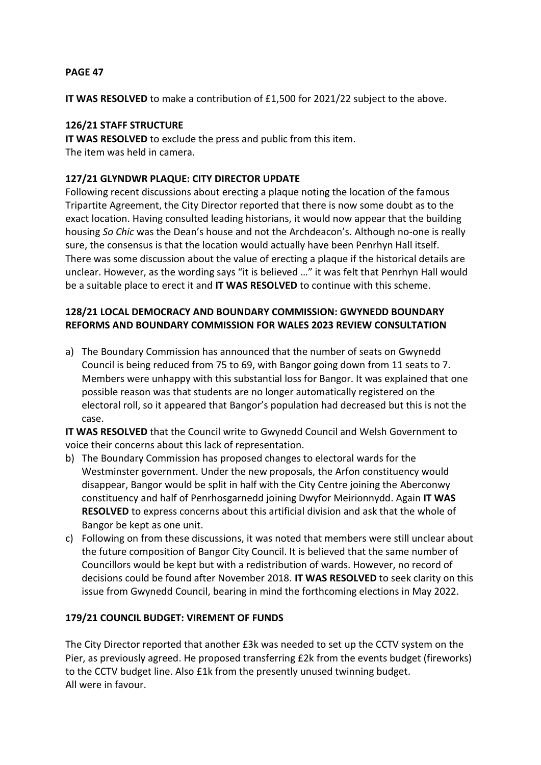**IT WAS RESOLVED** to make a contribution of £1,500 for 2021/22 subject to the above.

## **126/21 STAFF STRUCTURE**

**IT WAS RESOLVED** to exclude the press and public from this item. The item was held in camera.

#### **127/21 GLYNDWR PLAQUE: CITY DIRECTOR UPDATE**

Following recent discussions about erecting a plaque noting the location of the famous Tripartite Agreement, the City Director reported that there is now some doubt as to the exact location. Having consulted leading historians, it would now appear that the building housing *So Chic* was the Dean's house and not the Archdeacon's. Although no-one is really sure, the consensus is that the location would actually have been Penrhyn Hall itself. There was some discussion about the value of erecting a plaque if the historical details are unclear. However, as the wording says "it is believed …" it was felt that Penrhyn Hall would be a suitable place to erect it and **IT WAS RESOLVED** to continue with this scheme.

## **128/21 LOCAL DEMOCRACY AND BOUNDARY COMMISSION: GWYNEDD BOUNDARY REFORMS AND BOUNDARY COMMISSION FOR WALES 2023 REVIEW CONSULTATION**

a) The Boundary Commission has announced that the number of seats on Gwynedd Council is being reduced from 75 to 69, with Bangor going down from 11 seats to 7. Members were unhappy with this substantial loss for Bangor. It was explained that one possible reason was that students are no longer automatically registered on the electoral roll, so it appeared that Bangor's population had decreased but this is not the case.

**IT WAS RESOLVED** that the Council write to Gwynedd Council and Welsh Government to voice their concerns about this lack of representation.

- b) The Boundary Commission has proposed changes to electoral wards for the Westminster government. Under the new proposals, the Arfon constituency would disappear, Bangor would be split in half with the City Centre joining the Aberconwy constituency and half of Penrhosgarnedd joining Dwyfor Meirionnydd. Again **IT WAS RESOLVED** to express concerns about this artificial division and ask that the whole of Bangor be kept as one unit.
- c) Following on from these discussions, it was noted that members were still unclear about the future composition of Bangor City Council. It is believed that the same number of Councillors would be kept but with a redistribution of wards. However, no record of decisions could be found after November 2018. **IT WAS RESOLVED** to seek clarity on this issue from Gwynedd Council, bearing in mind the forthcoming elections in May 2022.

# **179/21 COUNCIL BUDGET: VIREMENT OF FUNDS**

The City Director reported that another £3k was needed to set up the CCTV system on the Pier, as previously agreed. He proposed transferring £2k from the events budget (fireworks) to the CCTV budget line. Also £1k from the presently unused twinning budget. All were in favour.